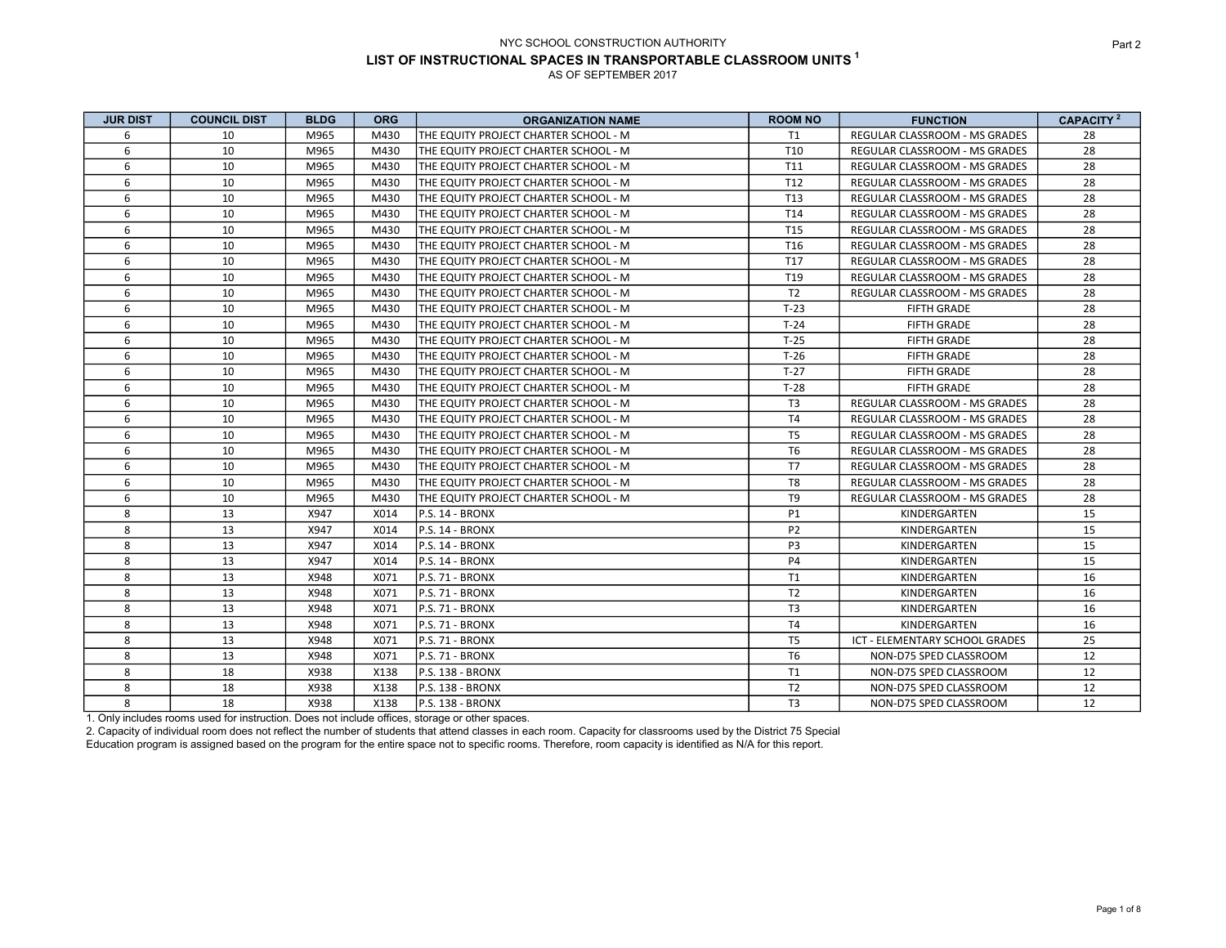| <b>JUR DIST</b> | <b>COUNCIL DIST</b> | <b>BLDG</b> | <b>ORG</b> | <b>ORGANIZATION NAME</b>               | <b>ROOM NO</b>  | <b>FUNCTION</b>                      | <b>CAPACITY</b> <sup>2</sup> |
|-----------------|---------------------|-------------|------------|----------------------------------------|-----------------|--------------------------------------|------------------------------|
| 6               | 10                  | M965        | M430       | THE EQUITY PROJECT CHARTER SCHOOL - M  | T1              | <b>REGULAR CLASSROOM - MS GRADES</b> | 28                           |
| 6               | 10                  | M965        | M430       | ITHE EQUITY PROJECT CHARTER SCHOOL - M | T <sub>10</sub> | <b>REGULAR CLASSROOM - MS GRADES</b> | 28                           |
| 6               | 10                  | M965        | M430       | THE EQUITY PROJECT CHARTER SCHOOL - M  | T11             | REGULAR CLASSROOM - MS GRADES        | 28                           |
| 6               | 10                  | M965        | M430       | THE EQUITY PROJECT CHARTER SCHOOL - M  | T <sub>12</sub> | REGULAR CLASSROOM - MS GRADES        | 28                           |
| 6               | 10                  | M965        | M430       | THE EQUITY PROJECT CHARTER SCHOOL - M  | T <sub>13</sub> | REGULAR CLASSROOM - MS GRADES        | 28                           |
| 6               | 10                  | M965        | M430       | THE EQUITY PROJECT CHARTER SCHOOL - M  | T14             | REGULAR CLASSROOM - MS GRADES        | 28                           |
| 6               | 10                  | M965        | M430       | THE EQUITY PROJECT CHARTER SCHOOL - M  | T <sub>15</sub> | REGULAR CLASSROOM - MS GRADES        | 28                           |
| 6               | 10                  | M965        | M430       | THE EQUITY PROJECT CHARTER SCHOOL - M  | T <sub>16</sub> | REGULAR CLASSROOM - MS GRADES        | 28                           |
| 6               | 10                  | M965        | M430       | THE EQUITY PROJECT CHARTER SCHOOL - M  | T17             | REGULAR CLASSROOM - MS GRADES        | 28                           |
| 6               | 10                  | M965        | M430       | THE EQUITY PROJECT CHARTER SCHOOL - M  | T <sub>19</sub> | REGULAR CLASSROOM - MS GRADES        | 28                           |
| 6               | 10                  | M965        | M430       | ITHE EQUITY PROJECT CHARTER SCHOOL - M | T <sub>2</sub>  | <b>REGULAR CLASSROOM - MS GRADES</b> | 28                           |
| 6               | 10                  | M965        | M430       | ITHE EQUITY PROJECT CHARTER SCHOOL - M | $T-23$          | <b>FIFTH GRADE</b>                   | 28                           |
| 6               | 10                  | M965        | M430       | ITHE EQUITY PROJECT CHARTER SCHOOL - M | $T-24$          | <b>FIFTH GRADE</b>                   | 28                           |
| 6               | 10                  | M965        | M430       | ITHE EQUITY PROJECT CHARTER SCHOOL - M | $T-25$          | <b>FIFTH GRADE</b>                   | 28                           |
| 6               | 10                  | M965        | M430       | THE EQUITY PROJECT CHARTER SCHOOL - M  | $T-26$          | <b>FIFTH GRADE</b>                   | 28                           |
| 6               | 10                  | M965        | M430       | THE EQUITY PROJECT CHARTER SCHOOL - M  | $T-27$          | <b>FIFTH GRADE</b>                   | 28                           |
| 6               | 10                  | M965        | M430       | THE EQUITY PROJECT CHARTER SCHOOL - M  | $T-28$          | <b>FIFTH GRADE</b>                   | 28                           |
| 6               | 10                  | M965        | M430       | THE EQUITY PROJECT CHARTER SCHOOL - M  | T <sub>3</sub>  | <b>REGULAR CLASSROOM - MS GRADES</b> | 28                           |
| 6               | 10                  | M965        | M430       | THE EQUITY PROJECT CHARTER SCHOOL - M  | <b>T4</b>       | <b>REGULAR CLASSROOM - MS GRADES</b> | 28                           |
| 6               | 10                  | M965        | M430       | THE EQUITY PROJECT CHARTER SCHOOL - M  | T <sub>5</sub>  | REGULAR CLASSROOM - MS GRADES        | 28                           |
| 6               | 10                  | M965        | M430       | THE EQUITY PROJECT CHARTER SCHOOL - M  | T <sub>6</sub>  | REGULAR CLASSROOM - MS GRADES        | 28                           |
| 6               | 10                  | M965        | M430       | THE EQUITY PROJECT CHARTER SCHOOL - M  | T7              | REGULAR CLASSROOM - MS GRADES        | 28                           |
| 6               | 10                  | M965        | M430       | THE EQUITY PROJECT CHARTER SCHOOL - M  | T8              | REGULAR CLASSROOM - MS GRADES        | 28                           |
| 6               | 10                  | M965        | M430       | THE EQUITY PROJECT CHARTER SCHOOL - M  | T <sub>9</sub>  | REGULAR CLASSROOM - MS GRADES        | 28                           |
| 8               | 13                  | X947        | X014       | P.S. 14 - BRONX                        | P1              | KINDERGARTEN                         | 15                           |
| 8               | 13                  | X947        | X014       | P.S. 14 - BRONX                        | P <sub>2</sub>  | KINDERGARTEN                         | 15                           |
| 8               | 13                  | X947        | X014       | IP.S. 14 - BRONX                       | P <sub>3</sub>  | KINDERGARTEN                         | 15                           |
| 8               | 13                  | X947        | X014       | P.S. 14 - BRONX                        | <b>P4</b>       | KINDERGARTEN                         | 15                           |
| 8               | 13                  | X948        | X071       | lP.S. 71 - BRONX                       | T1              | KINDERGARTEN                         | 16                           |
| 8               | 13                  | X948        | X071       | IP.S. 71 - BRONX                       | T <sub>2</sub>  | KINDERGARTEN                         | 16                           |
| 8               | 13                  | X948        | X071       | P.S. 71 - BRONX                        | T <sub>3</sub>  | KINDERGARTEN                         | 16                           |
| 8               | 13                  | X948        | X071       | P.S. 71 - BRONX                        | <b>T4</b>       | KINDERGARTEN                         | 16                           |
| 8               | 13                  | X948        | X071       | IP.S. 71 - BRONX                       | T <sub>5</sub>  | ICT - ELEMENTARY SCHOOL GRADES       | 25                           |
| 8               | 13                  | X948        | X071       | P.S. 71 - BRONX                        | T <sub>6</sub>  | NON-D75 SPED CLASSROOM               | 12                           |
| 8               | 18                  | X938        | X138       | P.S. 138 - BRONX                       | T1              | NON-D75 SPED CLASSROOM               | 12                           |
| 8               | 18                  | X938        | X138       | P.S. 138 - BRONX                       | T <sub>2</sub>  | NON-D75 SPED CLASSROOM               | 12                           |
| 8               | 18                  | X938        | X138       | P.S. 138 - BRONX                       | T <sub>3</sub>  | NON-D75 SPED CLASSROOM               | 12                           |

1. Only includes rooms used for instruction. Does not include offices, storage or other spaces.

2. Capacity of individual room does not reflect the number of students that attend classes in each room. Capacity for classrooms used by the District 75 Special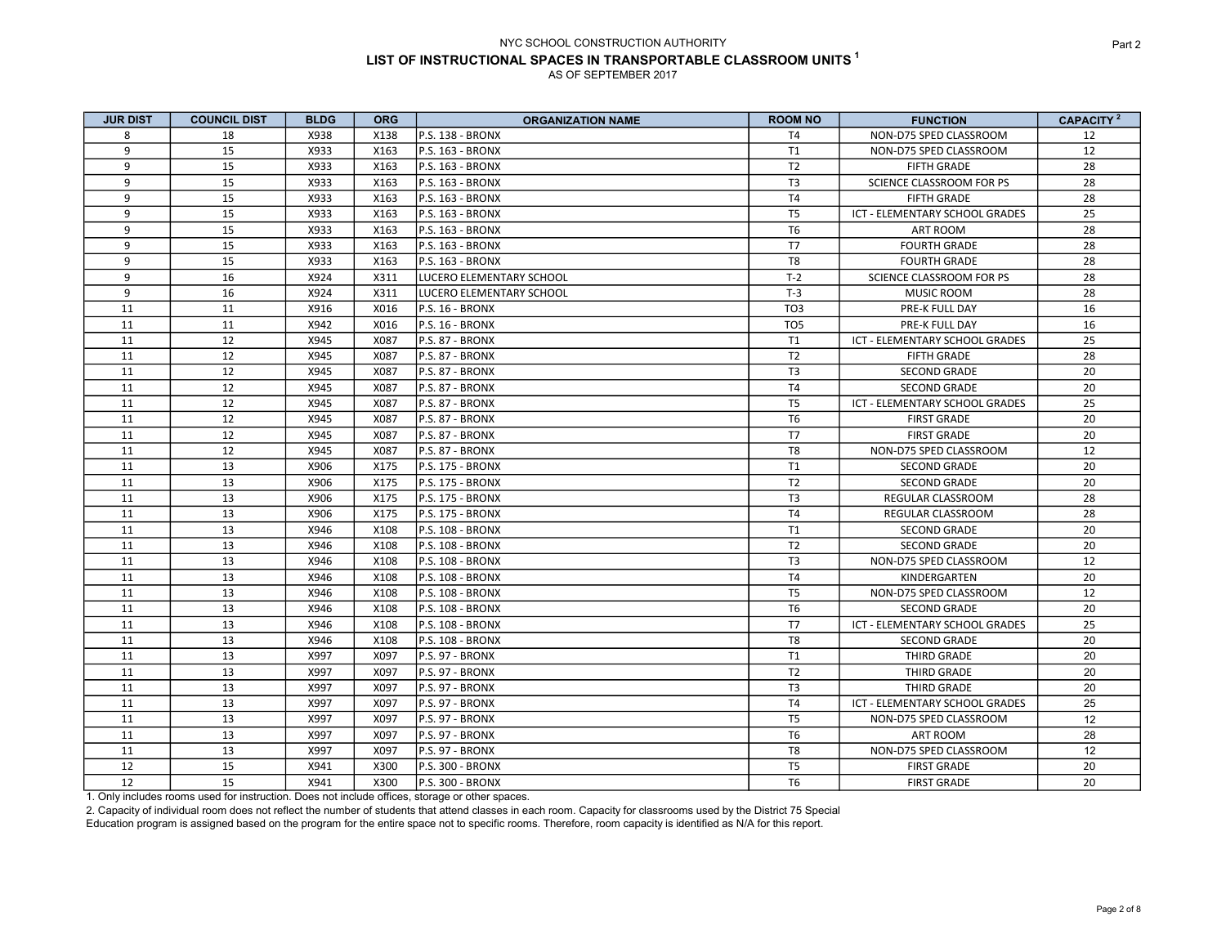| <b>JUR DIST</b> | <b>COUNCIL DIST</b> | <b>BLDG</b> | <b>ORG</b> | <b>ORGANIZATION NAME</b> | <b>ROOM NO</b>  | <b>FUNCTION</b>                | CAPACITY <sup>2</sup> |
|-----------------|---------------------|-------------|------------|--------------------------|-----------------|--------------------------------|-----------------------|
| 8               | 18                  | X938        | X138       | <b>P.S. 138 - BRONX</b>  | T <sub>4</sub>  | NON-D75 SPED CLASSROOM         | 12                    |
| 9               | 15                  | X933        | X163       | P.S. 163 - BRONX         | T1              | NON-D75 SPED CLASSROOM         | 12                    |
| 9               | 15                  | X933        | X163       | P.S. 163 - BRONX         | T <sub>2</sub>  | <b>FIFTH GRADE</b>             | 28                    |
| 9               | 15                  | X933        | X163       | P.S. 163 - BRONX         | T <sub>3</sub>  | SCIENCE CLASSROOM FOR PS       | 28                    |
| 9               | 15                  | X933        | X163       | lp.s. 163 - BRONX        | T <sub>4</sub>  | <b>FIFTH GRADE</b>             | 28                    |
| 9               | 15                  | X933        | X163       | P.S. 163 - BRONX         | T <sub>5</sub>  | ICT - ELEMENTARY SCHOOL GRADES | 25                    |
| 9               | 15                  | X933        | X163       | P.S. 163 - BRONX         | T <sub>6</sub>  | ART ROOM                       | 28                    |
| 9               | 15                  | X933        | X163       | P.S. 163 - BRONX         | T7              | <b>FOURTH GRADE</b>            | 28                    |
| 9               | 15                  | X933        | X163       | lp.s. 163 - BRONX        | T <sub>8</sub>  | <b>FOURTH GRADE</b>            | 28                    |
| 9               | 16                  | X924        | X311       | LUCERO ELEMENTARY SCHOOL | $T-2$           | SCIENCE CLASSROOM FOR PS       | 28                    |
| 9               | 16                  | X924        | X311       | LUCERO ELEMENTARY SCHOOL | $T-3$           | MUSIC ROOM                     | 28                    |
| 11              | 11                  | X916        | X016       | P.S. 16 - BRONX          | TO <sub>3</sub> | PRE-K FULL DAY                 | 16                    |
| 11              | 11                  | X942        | X016       | P.S. 16 - BRONX          | TO <sub>5</sub> | PRE-K FULL DAY                 | 16                    |
| 11              | 12                  | X945        | X087       | P.S. 87 - BRONX          | <b>T1</b>       | ICT - ELEMENTARY SCHOOL GRADES | 25                    |
| 11              | 12                  | X945        | X087       | P.S. 87 - BRONX          | T <sub>2</sub>  | <b>FIFTH GRADE</b>             | 28                    |
| 11              | 12                  | X945        | X087       | P.S. 87 - BRONX          | T <sub>3</sub>  | <b>SECOND GRADE</b>            | 20                    |
| 11              | 12                  | X945        | X087       | P.S. 87 - BRONX          | T <sub>4</sub>  | <b>SECOND GRADE</b>            | 20                    |
| 11              | 12                  | X945        | X087       | P.S. 87 - BRONX          | T <sub>5</sub>  | ICT - ELEMENTARY SCHOOL GRADES | 25                    |
| 11              | 12                  | X945        | X087       | P.S. 87 - BRONX          | T <sub>6</sub>  | <b>FIRST GRADE</b>             | 20                    |
| 11              | 12                  | X945        | X087       | P.S. 87 - BRONX          | <b>T7</b>       | <b>FIRST GRADE</b>             | 20                    |
| 11              | 12                  | X945        | X087       | P.S. 87 - BRONX          | T8              | NON-D75 SPED CLASSROOM         | 12                    |
| 11              | 13                  | X906        | X175       | P.S. 175 - BRONX         | T1              | <b>SECOND GRADE</b>            | 20                    |
| 11              | 13                  | X906        | X175       | P.S. 175 - BRONX         | T <sub>2</sub>  | <b>SECOND GRADE</b>            | 20                    |
| 11              | 13                  | X906        | X175       | P.S. 175 - BRONX         | T <sub>3</sub>  | REGULAR CLASSROOM              | 28                    |
| 11              | 13                  | X906        | X175       | P.S. 175 - BRONX         | T <sub>4</sub>  | <b>REGULAR CLASSROOM</b>       | 28                    |
| 11              | 13                  | X946        | X108       | P.S. 108 - BRONX         | T <sub>1</sub>  | <b>SECOND GRADE</b>            | 20                    |
| 11              | 13                  | X946        | X108       | <b>IP.S. 108 - BRONX</b> | T <sub>2</sub>  | <b>SECOND GRADE</b>            | 20                    |
| 11              | 13                  | X946        | X108       | P.S. 108 - BRONX         | T <sub>3</sub>  | NON-D75 SPED CLASSROOM         | 12                    |
| 11              | 13                  | X946        | X108       | <b>P.S. 108 - BRONX</b>  | T4              | KINDERGARTEN                   | 20                    |
| 11              | 13                  | X946        | X108       | P.S. 108 - BRONX         | T <sub>5</sub>  | NON-D75 SPED CLASSROOM         | 12                    |
| 11              | 13                  | X946        | X108       | P.S. 108 - BRONX         | T <sub>6</sub>  | <b>SECOND GRADE</b>            | 20                    |
| 11              | 13                  | X946        | X108       | P.S. 108 - BRONX         | T7              | ICT - ELEMENTARY SCHOOL GRADES | 25                    |
| 11              | 13                  | X946        | X108       | <b>P.S. 108 - BRONX</b>  | T8              | <b>SECOND GRADE</b>            | 20                    |
| 11              | 13                  | X997        | X097       | P.S. 97 - BRONX          | T1              | THIRD GRADE                    | 20                    |
| 11              | 13                  | X997        | X097       | P.S. 97 - BRONX          | T <sub>2</sub>  | THIRD GRADE                    | 20                    |
| 11              | 13                  | X997        | X097       | P.S. 97 - BRONX          | T <sub>3</sub>  | THIRD GRADE                    | 20                    |
| 11              | 13                  | X997        | X097       | P.S. 97 - BRONX          | T <sub>4</sub>  | ICT - ELEMENTARY SCHOOL GRADES | 25                    |
| 11              | 13                  | X997        | X097       | P.S. 97 - BRONX          | T <sub>5</sub>  | NON-D75 SPED CLASSROOM         | 12                    |
| 11              | 13                  | X997        | X097       | P.S. 97 - BRONX          | T <sub>6</sub>  | ART ROOM                       | 28                    |
| 11              | 13                  | X997        | X097       | P.S. 97 - BRONX          | T8              | NON-D75 SPED CLASSROOM         | 12                    |
| 12              | 15                  | X941        | X300       | P.S. 300 - BRONX         | T <sub>5</sub>  | <b>FIRST GRADE</b>             | 20                    |
| 12              | 15                  | X941        | X300       | P.S. 300 - BRONX         | T <sub>6</sub>  | <b>FIRST GRADE</b>             | 20                    |

1. Only includes rooms used for instruction. Does not include offices, storage or other spaces.

2. Capacity of individual room does not reflect the number of students that attend classes in each room. Capacity for classrooms used by the District 75 Special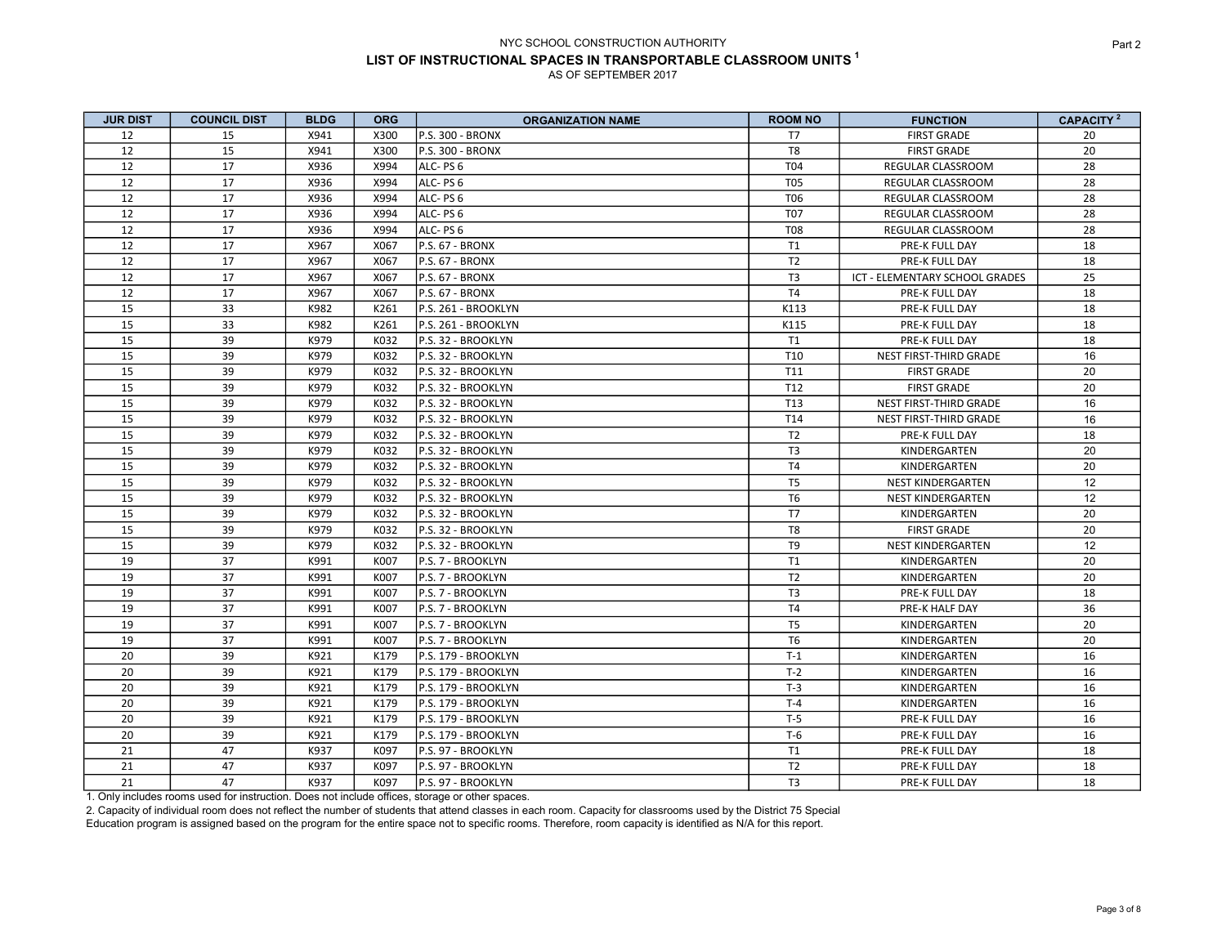| <b>JUR DIST</b> | <b>COUNCIL DIST</b> | <b>BLDG</b> | <b>ORG</b> | <b>ORGANIZATION NAME</b> | <b>ROOM NO</b>  | <b>FUNCTION</b>                | CAPACITY <sup>2</sup> |
|-----------------|---------------------|-------------|------------|--------------------------|-----------------|--------------------------------|-----------------------|
| 12              | 15                  | X941        | X300       | <b>P.S. 300 - BRONX</b>  | T7              | <b>FIRST GRADE</b>             | 20                    |
| 12              | 15                  | X941        | X300       | P.S. 300 - BRONX         | T8              | <b>FIRST GRADE</b>             | 20                    |
| 12              | 17                  | X936        | X994       | ALC- PS 6                | T04             | REGULAR CLASSROOM              | 28                    |
| 12              | 17                  | X936        | X994       | ALC-PS6                  | <b>T05</b>      | REGULAR CLASSROOM              | 28                    |
| 12              | 17                  | X936        | X994       | ALC- PS 6                | T <sub>06</sub> | REGULAR CLASSROOM              | 28                    |
| 12              | 17                  | X936        | X994       | ALC-PS 6                 | T07             | REGULAR CLASSROOM              | 28                    |
| 12              | 17                  | X936        | X994       | ALC-PS6                  | <b>T08</b>      | REGULAR CLASSROOM              | 28                    |
| 12              | 17                  | X967        | X067       | P.S. 67 - BRONX          | T1              | PRE-K FULL DAY                 | 18                    |
| 12              | 17                  | X967        | X067       | P.S. 67 - BRONX          | T <sub>2</sub>  | PRE-K FULL DAY                 | 18                    |
| 12              | 17                  | X967        | X067       | P.S. 67 - BRONX          | T <sub>3</sub>  | ICT - ELEMENTARY SCHOOL GRADES | 25                    |
| 12              | 17                  | X967        | X067       | P.S. 67 - BRONX          | T <sub>4</sub>  | PRE-K FULL DAY                 | 18                    |
| 15              | 33                  | K982        | K261       | P.S. 261 - BROOKLYN      | K113            | PRE-K FULL DAY                 | 18                    |
| 15              | 33                  | K982        | K261       | P.S. 261 - BROOKLYN      | K115            | PRE-K FULL DAY                 | 18                    |
| 15              | 39                  | K979        | K032       | P.S. 32 - BROOKLYN       | T1              | PRE-K FULL DAY                 | 18                    |
| 15              | 39                  | K979        | K032       | P.S. 32 - BROOKLYN       | T <sub>10</sub> | NEST FIRST-THIRD GRADE         | 16                    |
| 15              | 39                  | K979        | K032       | P.S. 32 - BROOKLYN       | T11             | <b>FIRST GRADE</b>             | 20                    |
| 15              | 39                  | K979        | K032       | P.S. 32 - BROOKLYN       | T12             | <b>FIRST GRADE</b>             | 20                    |
| 15              | 39                  | K979        | K032       | P.S. 32 - BROOKLYN       | T13             | NEST FIRST-THIRD GRADE         | 16                    |
| 15              | 39                  | K979        | K032       | P.S. 32 - BROOKLYN       | T14             | NEST FIRST-THIRD GRADE         | 16                    |
| 15              | 39                  | K979        | K032       | P.S. 32 - BROOKLYN       | T <sub>2</sub>  | PRE-K FULL DAY                 | 18                    |
| 15              | 39                  | K979        | K032       | P.S. 32 - BROOKLYN       | T <sub>3</sub>  | KINDERGARTEN                   | 20                    |
| 15              | 39                  | K979        | K032       | P.S. 32 - BROOKLYN       | T <sub>4</sub>  | KINDERGARTEN                   | 20                    |
| 15              | 39                  | K979        | K032       | P.S. 32 - BROOKLYN       | T <sub>5</sub>  | NEST KINDERGARTEN              | 12                    |
| 15              | 39                  | K979        | K032       | P.S. 32 - BROOKLYN       | T <sub>6</sub>  | <b>NEST KINDERGARTEN</b>       | 12                    |
| 15              | 39                  | K979        | K032       | P.S. 32 - BROOKLYN       | T7              | KINDERGARTEN                   | 20                    |
| 15              | 39                  | K979        | K032       | P.S. 32 - BROOKLYN       | T8              | <b>FIRST GRADE</b>             | 20                    |
| 15              | 39                  | K979        | K032       | P.S. 32 - BROOKLYN       | T <sub>9</sub>  | <b>NEST KINDERGARTEN</b>       | 12                    |
| 19              | 37                  | K991        | K007       | P.S. 7 - BROOKLYN        | T1              | KINDERGARTEN                   | 20                    |
| 19              | 37                  | K991        | K007       | P.S. 7 - BROOKLYN        | T <sub>2</sub>  | KINDERGARTEN                   | 20                    |
| 19              | 37                  | K991        | K007       | P.S. 7 - BROOKLYN        | T <sub>3</sub>  | PRE-K FULL DAY                 | 18                    |
| 19              | 37                  | K991        | K007       | P.S. 7 - BROOKLYN        | T <sub>4</sub>  | PRE-K HALF DAY                 | 36                    |
| 19              | 37                  | K991        | K007       | P.S. 7 - BROOKLYN        | T <sub>5</sub>  | KINDERGARTEN                   | 20                    |
| 19              | 37                  | K991        | K007       | P.S. 7 - BROOKLYN        | T <sub>6</sub>  | KINDERGARTEN                   | 20                    |
| 20              | 39                  | K921        | K179       | P.S. 179 - BROOKLYN      | $T-1$           | KINDERGARTEN                   | 16                    |
| 20              | 39                  | K921        | K179       | P.S. 179 - BROOKLYN      | $T-2$           | KINDERGARTEN                   | 16                    |
| 20              | 39                  | K921        | K179       | P.S. 179 - BROOKLYN      | $T-3$           | KINDERGARTEN                   | 16                    |
| 20              | 39                  | K921        | K179       | P.S. 179 - BROOKLYN      | $T-4$           | KINDERGARTEN                   | 16                    |
| 20              | 39                  | K921        | K179       | P.S. 179 - BROOKLYN      | $T-5$           | PRE-K FULL DAY                 | 16                    |
| 20              | 39                  | K921        | K179       | P.S. 179 - BROOKLYN      | $T-6$           | PRE-K FULL DAY                 | 16                    |
| 21              | 47                  | K937        | K097       | P.S. 97 - BROOKLYN       | T1              | PRE-K FULL DAY                 | 18                    |
| 21              | 47                  | K937        | K097       | P.S. 97 - BROOKLYN       | T <sub>2</sub>  | PRE-K FULL DAY                 | 18                    |
| 21              | 47                  | K937        | K097       | P.S. 97 - BROOKLYN       | T <sub>3</sub>  | PRE-K FULL DAY                 | 18                    |

1. Only includes rooms used for instruction. Does not include offices, storage or other spaces.

2. Capacity of individual room does not reflect the number of students that attend classes in each room. Capacity for classrooms used by the District 75 Special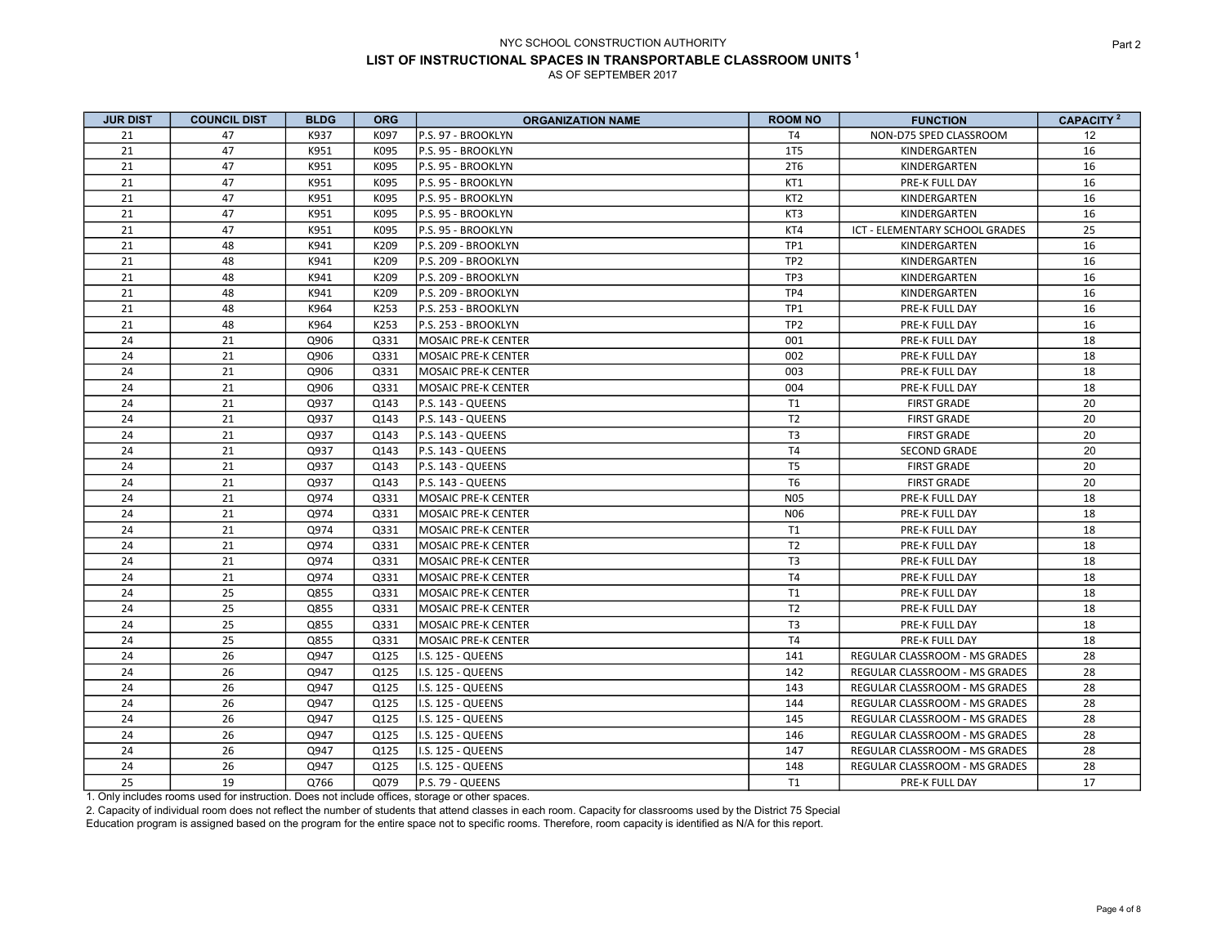| <b>JUR DIST</b> | <b>COUNCIL DIST</b> | <b>BLDG</b> | <b>ORG</b> | <b>ORGANIZATION NAME</b>   | <b>ROOM NO</b>  | <b>FUNCTION</b>                | CAPACITY <sup>2</sup> |
|-----------------|---------------------|-------------|------------|----------------------------|-----------------|--------------------------------|-----------------------|
| 21              | 47                  | K937        | K097       | P.S. 97 - BROOKLYN         | T <sub>4</sub>  | NON-D75 SPED CLASSROOM         | 12                    |
| 21              | 47                  | K951        | K095       | P.S. 95 - BROOKLYN         | 1T5             | KINDERGARTEN                   | 16                    |
| 21              | 47                  | K951        | K095       | P.S. 95 - BROOKLYN         | 2T6             | KINDERGARTEN                   | 16                    |
| 21              | 47                  | K951        | K095       | P.S. 95 - BROOKLYN         | KT1             | PRE-K FULL DAY                 | 16                    |
| 21              | 47                  | K951        | K095       | P.S. 95 - BROOKLYN         | KT <sub>2</sub> | KINDERGARTEN                   | 16                    |
| 21              | 47                  | K951        | K095       | P.S. 95 - BROOKLYN         | KT3             | KINDERGARTEN                   | 16                    |
| 21              | 47                  | K951        | K095       | P.S. 95 - BROOKLYN         | KT4             | ICT - ELEMENTARY SCHOOL GRADES | 25                    |
| 21              | 48                  | K941        | K209       | P.S. 209 - BROOKLYN        | TP <sub>1</sub> | KINDERGARTEN                   | 16                    |
| 21              | 48                  | K941        | K209       | P.S. 209 - BROOKLYN        | TP <sub>2</sub> | KINDERGARTEN                   | 16                    |
| 21              | 48                  | K941        | K209       | P.S. 209 - BROOKLYN        | TP3             | KINDERGARTEN                   | 16                    |
| 21              | 48                  | K941        | K209       | P.S. 209 - BROOKLYN        | TP4             | KINDERGARTEN                   | 16                    |
| 21              | 48                  | K964        | K253       | P.S. 253 - BROOKLYN        | TP1             | PRE-K FULL DAY                 | 16                    |
| 21              | 48                  | K964        | K253       | P.S. 253 - BROOKLYN        | TP <sub>2</sub> | PRE-K FULL DAY                 | 16                    |
| 24              | 21                  | Q906        | Q331       | MOSAIC PRE-K CENTER        | 001             | PRE-K FULL DAY                 | 18                    |
| 24              | 21                  | Q906        | Q331       | <b>MOSAIC PRE-K CENTER</b> | 002             | PRE-K FULL DAY                 | 18                    |
| 24              | 21                  | Q906        | Q331       | MOSAIC PRE-K CENTER        | 003             | PRE-K FULL DAY                 | 18                    |
| 24              | 21                  | Q906        | Q331       | MOSAIC PRE-K CENTER        | 004             | PRE-K FULL DAY                 | 18                    |
| 24              | 21                  | Q937        | Q143       | P.S. 143 - QUEENS          | T1              | <b>FIRST GRADE</b>             | 20                    |
| 24              | 21                  | Q937        | Q143       | P.S. 143 - QUEENS          | T <sub>2</sub>  | <b>FIRST GRADE</b>             | 20                    |
| 24              | 21                  | Q937        | Q143       | P.S. 143 - QUEENS          | T <sub>3</sub>  | <b>FIRST GRADE</b>             | 20                    |
| 24              | 21                  | Q937        | Q143       | P.S. 143 - QUEENS          | T <sub>4</sub>  | <b>SECOND GRADE</b>            | 20                    |
| 24              | 21                  | Q937        | Q143       | P.S. 143 - QUEENS          | T <sub>5</sub>  | <b>FIRST GRADE</b>             | 20                    |
| 24              | 21                  | Q937        | Q143       | P.S. 143 - QUEENS          | T <sub>6</sub>  | <b>FIRST GRADE</b>             | 20                    |
| 24              | 21                  | Q974        | Q331       | MOSAIC PRE-K CENTER        | <b>N05</b>      | PRE-K FULL DAY                 | 18                    |
| 24              | 21                  | Q974        | Q331       | <b>MOSAIC PRE-K CENTER</b> | <b>N06</b>      | PRE-K FULL DAY                 | 18                    |
| 24              | 21                  | Q974        | Q331       | MOSAIC PRE-K CENTER        | T1              | PRE-K FULL DAY                 | 18                    |
| 24              | 21                  | Q974        | Q331       | MOSAIC PRE-K CENTER        | T <sub>2</sub>  | PRE-K FULL DAY                 | 18                    |
| 24              | 21                  | Q974        | Q331       | MOSAIC PRE-K CENTER        | T <sub>3</sub>  | PRE-K FULL DAY                 | 18                    |
| 24              | 21                  | Q974        | Q331       | MOSAIC PRE-K CENTER        | T <sub>4</sub>  | PRE-K FULL DAY                 | 18                    |
| 24              | 25                  | Q855        | Q331       | MOSAIC PRE-K CENTER        | T1              | PRE-K FULL DAY                 | 18                    |
| 24              | 25                  | Q855        | Q331       | <b>MOSAIC PRE-K CENTER</b> | T <sub>2</sub>  | PRE-K FULL DAY                 | 18                    |
| 24              | 25                  | Q855        | Q331       | MOSAIC PRE-K CENTER        | T <sub>3</sub>  | PRE-K FULL DAY                 | 18                    |
| 24              | 25                  | Q855        | Q331       | <b>MOSAIC PRE-K CENTER</b> | T <sub>4</sub>  | PRE-K FULL DAY                 | 18                    |
| 24              | 26                  | Q947        | Q125       | I.S. 125 - QUEENS          | 141             | REGULAR CLASSROOM - MS GRADES  | 28                    |
| 24              | 26                  | Q947        | Q125       | <b>II.S. 125 - QUEENS</b>  | 142             | REGULAR CLASSROOM - MS GRADES  | 28                    |
| 24              | 26                  | Q947        | Q125       | I.S. 125 - QUEENS          | 143             | REGULAR CLASSROOM - MS GRADES  | 28                    |
| 24              | 26                  | Q947        | Q125       | I.S. 125 - QUEENS          | 144             | REGULAR CLASSROOM - MS GRADES  | 28                    |
| 24              | 26                  | Q947        | Q125       | I.S. 125 - QUEENS          | 145             | REGULAR CLASSROOM - MS GRADES  | 28                    |
| 24              | 26                  | Q947        | Q125       | <b>II.S. 125 - QUEENS</b>  | 146             | REGULAR CLASSROOM - MS GRADES  | 28                    |
| 24              | 26                  | Q947        | Q125       | <b>I.S. 125 - QUEENS</b>   | 147             | REGULAR CLASSROOM - MS GRADES  | 28                    |
| 24              | 26                  | Q947        | Q125       | <b>II.S. 125 - QUEENS</b>  | 148             | REGULAR CLASSROOM - MS GRADES  | 28                    |
| 25              | 19                  | Q766        | Q079       | P.S. 79 - QUEENS           | T1              | PRE-K FULL DAY                 | 17                    |

1. Only includes rooms used for instruction. Does not include offices, storage or other spaces.

2. Capacity of individual room does not reflect the number of students that attend classes in each room. Capacity for classrooms used by the District 75 Special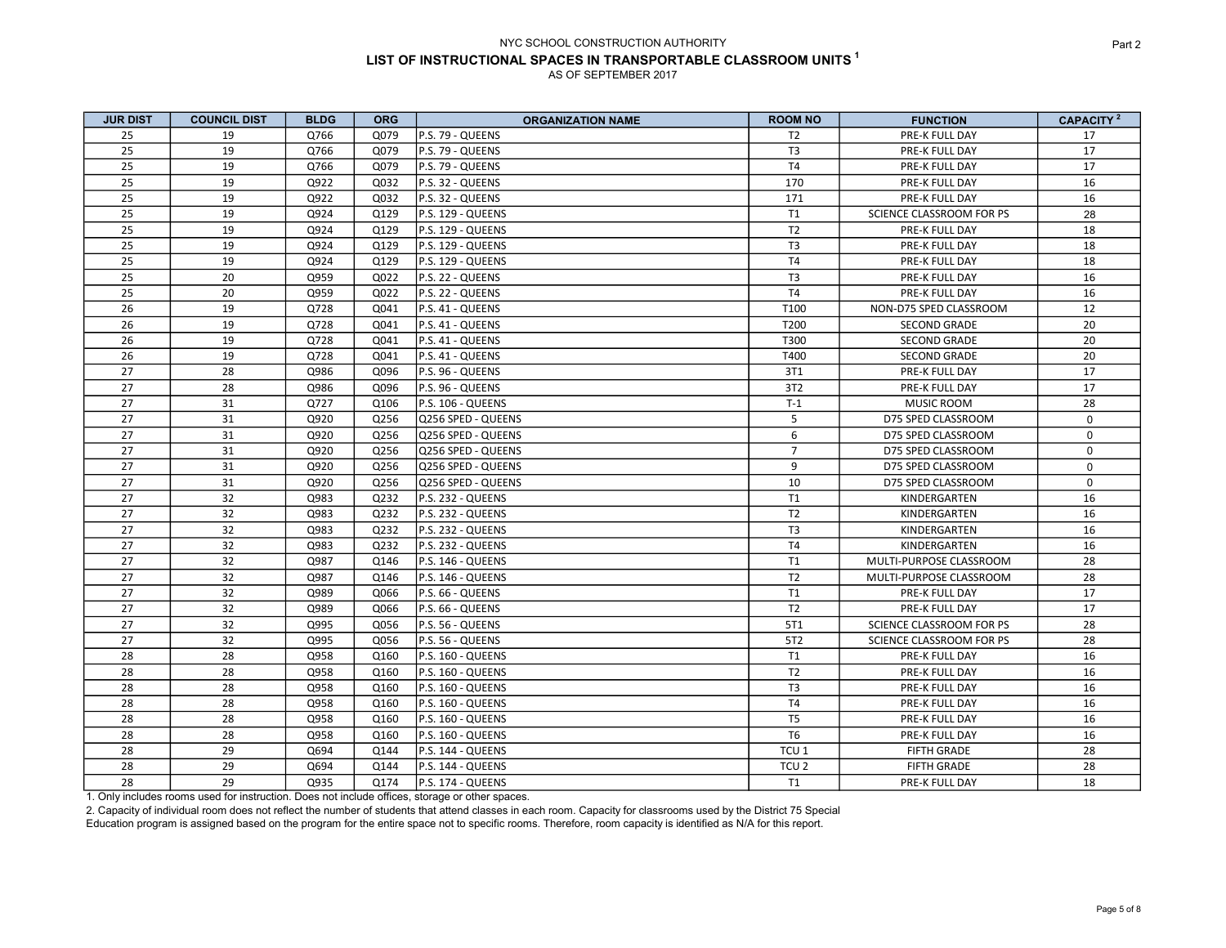| <b>JUR DIST</b> | <b>COUNCIL DIST</b> | <b>BLDG</b> | <b>ORG</b> | <b>ORGANIZATION NAME</b> | <b>ROOM NO</b>   | <b>FUNCTION</b>          | CAPACITY <sup>2</sup> |
|-----------------|---------------------|-------------|------------|--------------------------|------------------|--------------------------|-----------------------|
| 25              | 19                  | Q766        | Q079       | P.S. 79 - QUEENS         | T <sub>2</sub>   | PRE-K FULL DAY           | 17                    |
| 25              | 19                  | Q766        | Q079       | P.S. 79 - QUEENS         | T <sub>3</sub>   | PRE-K FULL DAY           | 17                    |
| 25              | 19                  | Q766        | Q079       | P.S. 79 - QUEENS         | T <sub>4</sub>   | PRE-K FULL DAY           | 17                    |
| 25              | 19                  | Q922        | Q032       | P.S. 32 - QUEENS         | 170              | PRE-K FULL DAY           | 16                    |
| 25              | 19                  | Q922        | Q032       | P.S. 32 - QUEENS         | 171              | PRE-K FULL DAY           | 16                    |
| 25              | 19                  | Q924        | Q129       | P.S. 129 - QUEENS        | T1               | SCIENCE CLASSROOM FOR PS | 28                    |
| 25              | 19                  | Q924        | Q129       | P.S. 129 - QUEENS        | T <sub>2</sub>   | PRE-K FULL DAY           | 18                    |
| 25              | 19                  | Q924        | Q129       | P.S. 129 - QUEENS        | T <sub>3</sub>   | PRE-K FULL DAY           | 18                    |
| 25              | 19                  | Q924        | Q129       | P.S. 129 - QUEENS        | <b>T4</b>        | PRE-K FULL DAY           | 18                    |
| 25              | 20                  | Q959        | Q022       | P.S. 22 - QUEENS         | T <sub>3</sub>   | PRE-K FULL DAY           | 16                    |
| 25              | 20                  | Q959        | Q022       | P.S. 22 - QUEENS         | T4               | PRE-K FULL DAY           | 16                    |
| 26              | 19                  | Q728        | Q041       | P.S. 41 - QUEENS         | T100             | NON-D75 SPED CLASSROOM   | 12                    |
| 26              | 19                  | Q728        | Q041       | P.S. 41 - QUEENS         | T200             | <b>SECOND GRADE</b>      | 20                    |
| 26              | 19                  | Q728        | Q041       | P.S. 41 - QUEENS         | T300             | <b>SECOND GRADE</b>      | 20                    |
| 26              | 19                  | Q728        | Q041       | P.S. 41 - QUEENS         | T400             | <b>SECOND GRADE</b>      | 20                    |
| 27              | 28                  | Q986        | Q096       | P.S. 96 - QUEENS         | 3T1              | PRE-K FULL DAY           | 17                    |
| 27              | 28                  | Q986        | Q096       | P.S. 96 - QUEENS         | 3T2              | PRE-K FULL DAY           | 17                    |
| 27              | 31                  | Q727        | Q106       | P.S. 106 - QUEENS        | $T-1$            | <b>MUSIC ROOM</b>        | 28                    |
| 27              | 31                  | Q920        | Q256       | Q256 SPED - QUEENS       | 5                | D75 SPED CLASSROOM       | $\mathbf 0$           |
| 27              | 31                  | Q920        | Q256       | Q256 SPED - QUEENS       | 6                | D75 SPED CLASSROOM       | $\mathbf 0$           |
| 27              | 31                  | Q920        | Q256       | Q256 SPED - QUEENS       | $\overline{7}$   | D75 SPED CLASSROOM       | $\mathbf 0$           |
| 27              | 31                  | Q920        | Q256       | Q256 SPED - QUEENS       | 9                | D75 SPED CLASSROOM       | $\mathbf 0$           |
| 27              | 31                  | Q920        | Q256       | Q256 SPED - QUEENS       | 10               | D75 SPED CLASSROOM       | $\Omega$              |
| 27              | 32                  | Q983        | Q232       | P.S. 232 - QUEENS        | T1               | KINDERGARTEN             | 16                    |
| 27              | 32                  | Q983        | Q232       | P.S. 232 - QUEENS        | T <sub>2</sub>   | KINDERGARTEN             | 16                    |
| 27              | 32                  | Q983        | Q232       | P.S. 232 - QUEENS        | T <sub>3</sub>   | KINDERGARTEN             | 16                    |
| 27              | 32                  | Q983        | Q232       | P.S. 232 - QUEENS        | T <sub>4</sub>   | KINDERGARTEN             | 16                    |
| 27              | 32                  | Q987        | Q146       | P.S. 146 - QUEENS        | T1               | MULTI-PURPOSE CLASSROOM  | 28                    |
| 27              | 32                  | Q987        | Q146       | P.S. 146 - QUEENS        | T <sub>2</sub>   | MULTI-PURPOSE CLASSROOM  | 28                    |
| 27              | 32                  | Q989        | Q066       | P.S. 66 - QUEENS         | T1               | PRE-K FULL DAY           | 17                    |
| 27              | 32                  | Q989        | Q066       | P.S. 66 - QUEENS         | T <sub>2</sub>   | PRE-K FULL DAY           | 17                    |
| 27              | 32                  | Q995        | Q056       | P.S. 56 - QUEENS         | 5T1              | SCIENCE CLASSROOM FOR PS | 28                    |
| 27              | 32                  | Q995        | Q056       | P.S. 56 - QUEENS         | 5T2              | SCIENCE CLASSROOM FOR PS | 28                    |
| 28              | 28                  | Q958        | Q160       | P.S. 160 - QUEENS        | T1               | PRE-K FULL DAY           | 16                    |
| 28              | 28                  | Q958        | Q160       | P.S. 160 - QUEENS        | T <sub>2</sub>   | PRE-K FULL DAY           | 16                    |
| 28              | 28                  | Q958        | Q160       | P.S. 160 - QUEENS        | T <sub>3</sub>   | PRE-K FULL DAY           | 16                    |
| 28              | 28                  | Q958        | Q160       | P.S. 160 - QUEENS        | <b>T4</b>        | PRE-K FULL DAY           | 16                    |
| 28              | 28                  | Q958        | Q160       | P.S. 160 - QUEENS        | T <sub>5</sub>   | PRE-K FULL DAY           | 16                    |
| 28              | 28                  | Q958        | Q160       | P.S. 160 - QUEENS        | T <sub>6</sub>   | PRE-K FULL DAY           | 16                    |
| 28              | 29                  | Q694        | Q144       | P.S. 144 - QUEENS        | TCU <sub>1</sub> | <b>FIFTH GRADE</b>       | 28                    |
| 28              | 29                  | Q694        | Q144       | P.S. 144 - QUEENS        | TCU <sub>2</sub> | <b>FIFTH GRADE</b>       | 28                    |
| 28              | 29                  | Q935        | Q174       | P.S. 174 - QUEENS        | T1               | PRE-K FULL DAY           | 18                    |

1. Only includes rooms used for instruction. Does not include offices, storage or other spaces.

2. Capacity of individual room does not reflect the number of students that attend classes in each room. Capacity for classrooms used by the District 75 Special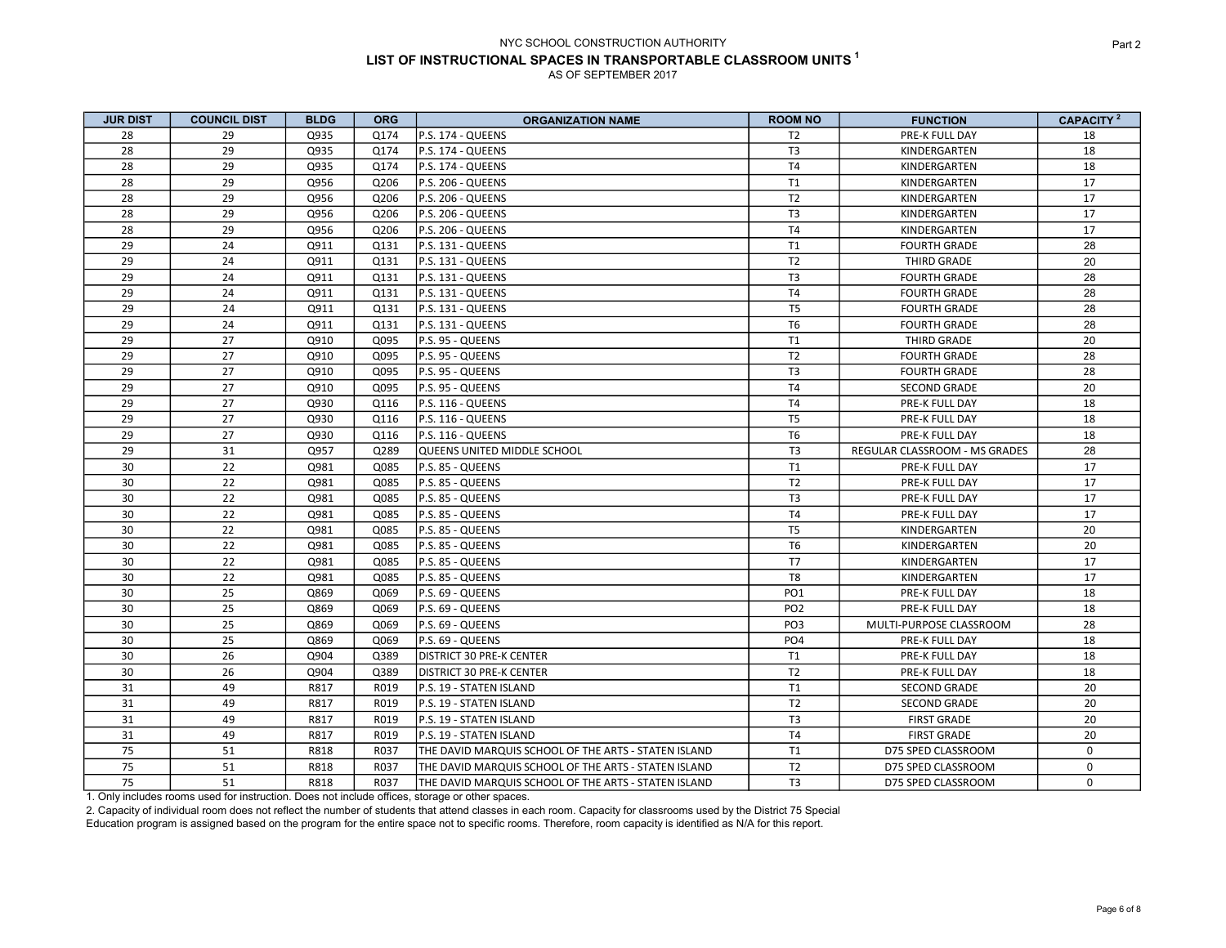| <b>JUR DIST</b> | <b>COUNCIL DIST</b> | <b>BLDG</b> | <b>ORG</b> | <b>ORGANIZATION NAME</b>                             | <b>ROOM NO</b>  | <b>FUNCTION</b>               | CAPACITY <sup>2</sup> |
|-----------------|---------------------|-------------|------------|------------------------------------------------------|-----------------|-------------------------------|-----------------------|
| 28              | 29                  | Q935        | Q174       | P.S. 174 - QUEENS                                    | T <sub>2</sub>  | PRE-K FULL DAY                | 18                    |
| 28              | 29                  | Q935        | Q174       | P.S. 174 - QUEENS                                    | T <sub>3</sub>  | KINDERGARTEN                  | 18                    |
| 28              | 29                  | Q935        | Q174       | P.S. 174 - QUEENS                                    | T <sub>4</sub>  | KINDERGARTEN                  | 18                    |
| 28              | 29                  | Q956        | Q206       | P.S. 206 - QUEENS                                    | T1              | KINDERGARTEN                  | 17                    |
| 28              | 29                  | Q956        | Q206       | P.S. 206 - QUEENS                                    | T <sub>2</sub>  | KINDERGARTEN                  | 17                    |
| 28              | 29                  | Q956        | Q206       | P.S. 206 - QUEENS                                    | T <sub>3</sub>  | KINDERGARTEN                  | 17                    |
| 28              | 29                  | Q956        | Q206       | P.S. 206 - QUEENS                                    | T <sub>4</sub>  | KINDERGARTEN                  | 17                    |
| 29              | 24                  | Q911        | Q131       | P.S. 131 - QUEENS                                    | T <sub>1</sub>  | <b>FOURTH GRADE</b>           | 28                    |
| 29              | 24                  | Q911        | 0131       | P.S. 131 - QUEENS                                    | T <sub>2</sub>  | THIRD GRADE                   | 20                    |
| 29              | 24                  | Q911        | Q131       | P.S. 131 - QUEENS                                    | T <sub>3</sub>  | <b>FOURTH GRADE</b>           | 28                    |
| 29              | 24                  | Q911        | Q131       | P.S. 131 - QUEENS                                    | T <sub>4</sub>  | <b>FOURTH GRADE</b>           | 28                    |
| 29              | 24                  | Q911        | Q131       | P.S. 131 - QUEENS                                    | T <sub>5</sub>  | <b>FOURTH GRADE</b>           | 28                    |
| 29              | 24                  | Q911        | Q131       | P.S. 131 - QUEENS                                    | T <sub>6</sub>  | <b>FOURTH GRADE</b>           | 28                    |
| 29              | 27                  | Q910        | Q095       | P.S. 95 - QUEENS                                     | T1              | THIRD GRADE                   | 20                    |
| 29              | 27                  | Q910        | Q095       | P.S. 95 - QUEENS                                     | T <sub>2</sub>  | <b>FOURTH GRADE</b>           | 28                    |
| 29              | 27                  | Q910        | Q095       | P.S. 95 - QUEENS                                     | T <sub>3</sub>  | <b>FOURTH GRADE</b>           | 28                    |
| 29              | 27                  | Q910        | Q095       | P.S. 95 - QUEENS                                     | <b>T4</b>       | <b>SECOND GRADE</b>           | 20                    |
| 29              | 27                  | Q930        | Q116       | P.S. 116 - QUEENS                                    | T <sub>4</sub>  | PRE-K FULL DAY                | 18                    |
| 29              | 27                  | Q930        | Q116       | P.S. 116 - QUEENS                                    | T <sub>5</sub>  | PRE-K FULL DAY                | 18                    |
| 29              | 27                  | Q930        | Q116       | P.S. 116 - QUEENS                                    | T <sub>6</sub>  | PRE-K FULL DAY                | 18                    |
| 29              | 31                  | Q957        | Q289       | QUEENS UNITED MIDDLE SCHOOL                          | T <sub>3</sub>  | REGULAR CLASSROOM - MS GRADES | 28                    |
| 30              | 22                  | Q981        | Q085       | P.S. 85 - QUEENS                                     | T1              | PRE-K FULL DAY                | 17                    |
| 30              | 22                  | Q981        | Q085       | P.S. 85 - QUEENS                                     | T <sub>2</sub>  | PRE-K FULL DAY                | 17                    |
| 30              | 22                  | Q981        | Q085       | P.S. 85 - QUEENS                                     | T <sub>3</sub>  | PRE-K FULL DAY                | 17                    |
| 30              | 22                  | Q981        | Q085       | P.S. 85 - QUEENS                                     | T <sub>4</sub>  | PRE-K FULL DAY                | 17                    |
| 30              | 22                  | Q981        | Q085       | P.S. 85 - QUEENS                                     | T <sub>5</sub>  | KINDERGARTEN                  | 20                    |
| 30              | 22                  | Q981        | Q085       | P.S. 85 - QUEENS                                     | T <sub>6</sub>  | KINDERGARTEN                  | 20                    |
| 30              | 22                  | Q981        | Q085       | P.S. 85 - QUEENS                                     | T7              | KINDERGARTEN                  | 17                    |
| 30              | 22                  | Q981        | Q085       | P.S. 85 - QUEENS                                     | T8              | KINDERGARTEN                  | 17                    |
| 30              | 25                  | Q869        | Q069       | P.S. 69 - QUEENS                                     | PO <sub>1</sub> | PRE-K FULL DAY                | 18                    |
| 30              | 25                  | Q869        | Q069       | P.S. 69 - QUEENS                                     | PO <sub>2</sub> | PRE-K FULL DAY                | 18                    |
| 30              | 25                  | Q869        | Q069       | P.S. 69 - QUEENS                                     | PO <sub>3</sub> | MULTI-PURPOSE CLASSROOM       | 28                    |
| 30              | 25                  | Q869        | Q069       | P.S. 69 - QUEENS                                     | PO <sub>4</sub> | PRE-K FULL DAY                | 18                    |
| 30              | 26                  | Q904        | Q389       | <b>DISTRICT 30 PRE-K CENTER</b>                      | T1              | PRE-K FULL DAY                | 18                    |
| 30              | 26                  | Q904        | Q389       | <b>DISTRICT 30 PRE-K CENTER</b>                      | T <sub>2</sub>  | PRE-K FULL DAY                | 18                    |
| 31              | 49                  | R817        | R019       | P.S. 19 - STATEN ISLAND                              | T1              | <b>SECOND GRADE</b>           | 20                    |
| 31              | 49                  | R817        | R019       | P.S. 19 - STATEN ISLAND                              | T <sub>2</sub>  | SECOND GRADE                  | 20                    |
| 31              | 49                  | R817        | R019       | P.S. 19 - STATEN ISLAND                              | T <sub>3</sub>  | <b>FIRST GRADE</b>            | 20                    |
| 31              | 49                  | R817        | R019       | P.S. 19 - STATEN ISLAND                              | <b>T4</b>       | <b>FIRST GRADE</b>            | 20                    |
| 75              | 51                  | R818        | R037       | THE DAVID MARQUIS SCHOOL OF THE ARTS - STATEN ISLAND | T1              | D75 SPED CLASSROOM            | 0                     |
| 75              | 51                  | R818        | R037       | THE DAVID MARQUIS SCHOOL OF THE ARTS - STATEN ISLAND | T <sub>2</sub>  | D75 SPED CLASSROOM            | 0                     |
| 75              | 51                  | R818        | R037       | THE DAVID MARQUIS SCHOOL OF THE ARTS - STATEN ISLAND | T <sub>3</sub>  | D75 SPED CLASSROOM            | $\Omega$              |

1. Only includes rooms used for instruction. Does not include offices, storage or other spaces.

2. Capacity of individual room does not reflect the number of students that attend classes in each room. Capacity for classrooms used by the District 75 Special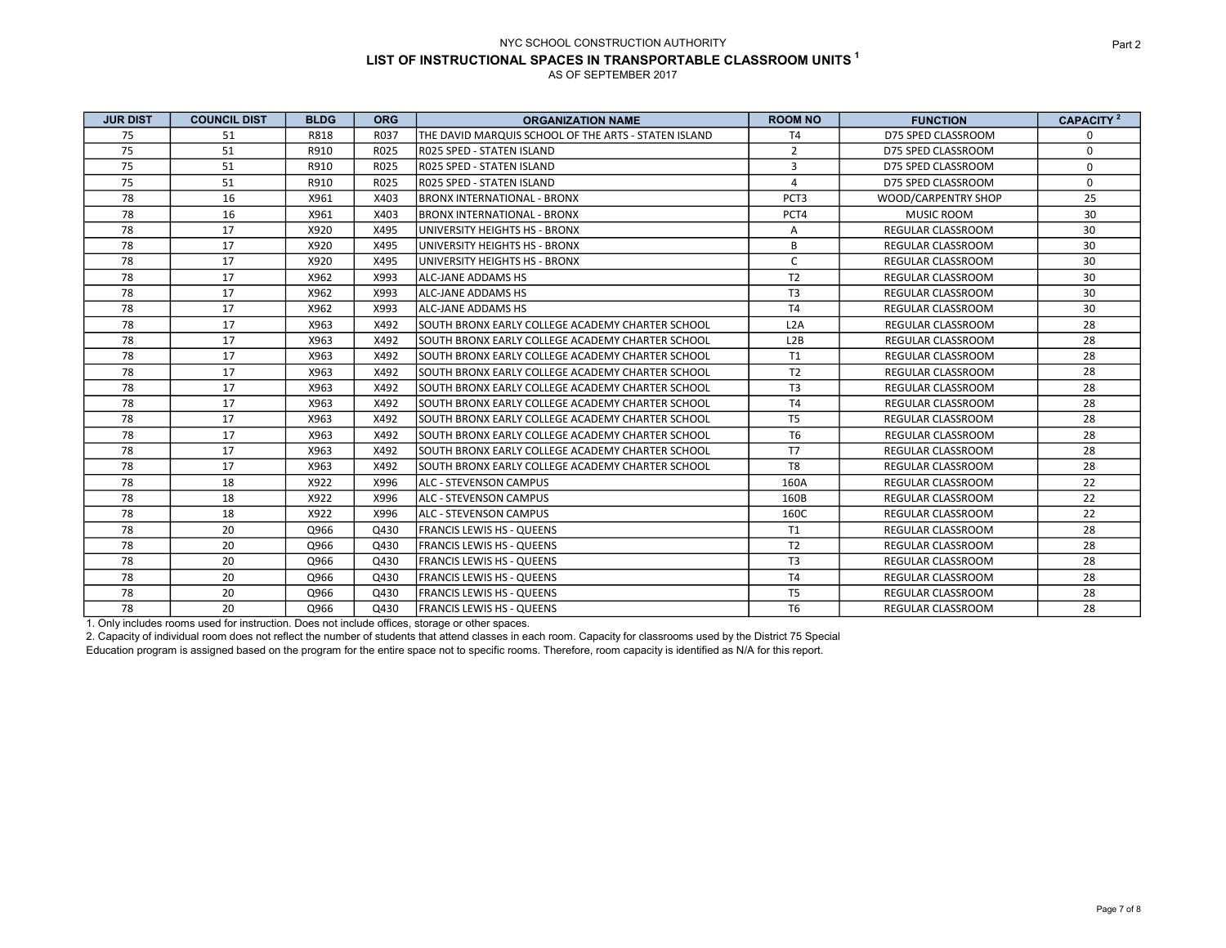| <b>JUR DIST</b> | <b>COUNCIL DIST</b> | <b>BLDG</b> | <b>ORG</b> | <b>ORGANIZATION NAME</b>                             | <b>ROOM NO</b>   | <b>FUNCTION</b>          | CAPACITY <sup>2</sup> |
|-----------------|---------------------|-------------|------------|------------------------------------------------------|------------------|--------------------------|-----------------------|
| 75              | 51                  | R818        | R037       | THE DAVID MARQUIS SCHOOL OF THE ARTS - STATEN ISLAND | T <sub>4</sub>   | D75 SPED CLASSROOM       | 0                     |
| 75              | 51                  | R910        | R025       | R025 SPED - STATEN ISLAND                            | $\overline{2}$   | D75 SPED CLASSROOM       | 0                     |
| 75              | 51                  | R910        | R025       | RO25 SPED - STATEN ISLAND                            | 3                | D75 SPED CLASSROOM       | $\Omega$              |
| 75              | 51                  | R910        | R025       | IR025 SPED - STATEN ISLAND                           | $\overline{4}$   | D75 SPED CLASSROOM       | $\Omega$              |
| 78              | 16                  | X961        | X403       | <b>BRONX INTERNATIONAL - BRONX</b>                   | PCT <sub>3</sub> | WOOD/CARPENTRY SHOP      | 25                    |
| 78              | 16                  | X961        | X403       | IBRONX INTERNATIONAL - BRONX                         | PCT4             | <b>MUSIC ROOM</b>        | 30                    |
| 78              | 17                  | X920        | X495       | UNIVERSITY HEIGHTS HS - BRONX                        | Α                | <b>REGULAR CLASSROOM</b> | 30                    |
| 78              | 17                  | X920        | X495       | UNIVERSITY HEIGHTS HS - BRONX                        | B                | <b>REGULAR CLASSROOM</b> | 30                    |
| 78              | 17                  | X920        | X495       | UNIVERSITY HEIGHTS HS - BRONX                        | $\mathsf{C}$     | REGULAR CLASSROOM        | 30                    |
| 78              | 17                  | X962        | X993       | <b>ALC-JANE ADDAMS HS</b>                            | T <sub>2</sub>   | <b>REGULAR CLASSROOM</b> | 30                    |
| 78              | 17                  | X962        | X993       | ALC-JANE ADDAMS HS                                   | T <sub>3</sub>   | <b>REGULAR CLASSROOM</b> | 30                    |
| 78              | 17                  | X962        | X993       | <b>ALC-JANE ADDAMS HS</b>                            | T4               | REGULAR CLASSROOM        | 30                    |
| 78              | 17                  | X963        | X492       | SOUTH BRONX EARLY COLLEGE ACADEMY CHARTER SCHOOL     | L2A              | <b>REGULAR CLASSROOM</b> | 28                    |
| 78              | 17                  | X963        | X492       | SOUTH BRONX EARLY COLLEGE ACADEMY CHARTER SCHOOL     | L2B              | <b>REGULAR CLASSROOM</b> | 28                    |
| 78              | 17                  | X963        | X492       | SOUTH BRONX EARLY COLLEGE ACADEMY CHARTER SCHOOL     | T1               | REGULAR CLASSROOM        | 28                    |
| 78              | 17                  | X963        | X492       | SOUTH BRONX EARLY COLLEGE ACADEMY CHARTER SCHOOL     | T <sub>2</sub>   | <b>REGULAR CLASSROOM</b> | 28                    |
| 78              | 17                  | X963        | X492       | SOUTH BRONX EARLY COLLEGE ACADEMY CHARTER SCHOOL     | T <sub>3</sub>   | <b>REGULAR CLASSROOM</b> | 28                    |
| 78              | 17                  | X963        | X492       | SOUTH BRONX EARLY COLLEGE ACADEMY CHARTER SCHOOL     | <b>T4</b>        | <b>REGULAR CLASSROOM</b> | 28                    |
| 78              | 17                  | X963        | X492       | SOUTH BRONX EARLY COLLEGE ACADEMY CHARTER SCHOOL     | T <sub>5</sub>   | <b>REGULAR CLASSROOM</b> | 28                    |
| 78              | 17                  | X963        | X492       | SOUTH BRONX EARLY COLLEGE ACADEMY CHARTER SCHOOL     | T <sub>6</sub>   | <b>REGULAR CLASSROOM</b> | 28                    |
| 78              | 17                  | X963        | X492       | SOUTH BRONX EARLY COLLEGE ACADEMY CHARTER SCHOOL     | <b>T7</b>        | <b>REGULAR CLASSROOM</b> | 28                    |
| 78              | 17                  | X963        | X492       | ISOUTH BRONX EARLY COLLEGE ACADEMY CHARTER SCHOOL    | T <sub>8</sub>   | <b>REGULAR CLASSROOM</b> | 28                    |
| 78              | 18                  | X922        | X996       | lalc - STEVENSON CAMPUS                              | 160A             | <b>REGULAR CLASSROOM</b> | 22                    |
| 78              | 18                  | X922        | X996       | <b>JALC - STEVENSON CAMPUS</b>                       | 160B             | <b>REGULAR CLASSROOM</b> | 22                    |
| 78              | 18                  | X922        | X996       | <b>ALC - STEVENSON CAMPUS</b>                        | 160C             | REGULAR CLASSROOM        | 22                    |
| 78              | 20                  | Q966        | Q430       | <b>IFRANCIS LEWIS HS - QUEENS</b>                    | T1               | <b>REGULAR CLASSROOM</b> | 28                    |
| 78              | 20                  | Q966        | Q430       | <b>FRANCIS LEWIS HS - QUEENS</b>                     | T <sub>2</sub>   | <b>REGULAR CLASSROOM</b> | 28                    |
| 78              | 20                  | Q966        | Q430       | <b>FRANCIS LEWIS HS - QUEENS</b>                     | T <sub>3</sub>   | REGULAR CLASSROOM        | 28                    |
| 78              | 20                  | Q966        | Q430       | IFRANCIS LEWIS HS - QUEENS                           | T4               | <b>REGULAR CLASSROOM</b> | 28                    |
| 78              | 20                  | Q966        | Q430       | <b>IFRANCIS LEWIS HS - QUEENS</b>                    | T <sub>5</sub>   | REGULAR CLASSROOM        | 28                    |
| 78              | 20                  | Q966        | Q430       | <b>IFRANCIS LEWIS HS - QUEENS</b>                    | T <sub>6</sub>   | REGULAR CLASSROOM        | 28                    |

1. Only includes rooms used for instruction. Does not include offices, storage or other spaces.

2. Capacity of individual room does not reflect the number of students that attend classes in each room. Capacity for classrooms used by the District 75 Special